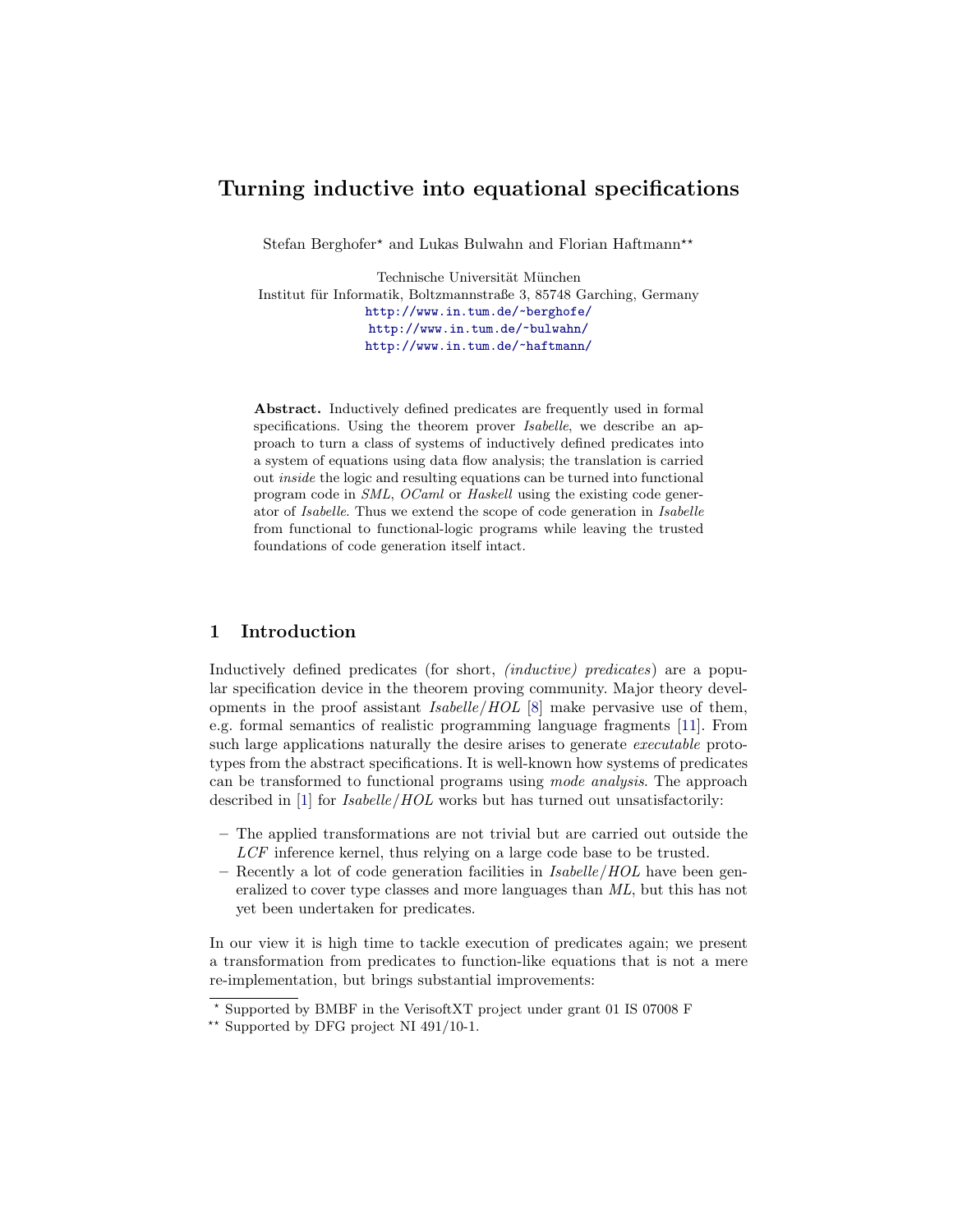# <span id="page-0-0"></span>Turning inductive into equational specifications

Stefan Berghofer<sup>\*</sup> and Lukas Bulwahn and Florian Haftmann<sup>\*\*</sup>

Technische Universität München Institut für Informatik, Boltzmannstraße 3, 85748 Garching, Germany <http://www.in.tum.de/~berghofe/> <http://www.in.tum.de/~bulwahn/> <http://www.in.tum.de/~haftmann/>

Abstract. Inductively defined predicates are frequently used in formal specifications. Using the theorem prover *Isabelle*, we describe an approach to turn a class of systems of inductively defined predicates into a system of equations using data flow analysis; the translation is carried out inside the logic and resulting equations can be turned into functional program code in SML, OCaml or Haskell using the existing code generator of Isabelle. Thus we extend the scope of code generation in Isabelle from functional to functional-logic programs while leaving the trusted foundations of code generation itself intact.

# 1 Introduction

Inductively defined predicates (for short, (inductive) predicates) are a popular specification device in the theorem proving community. Major theory developments in the proof assistant *Isabelle/HOL* [\[8\]](#page-15-0) make pervasive use of them, e.g. formal semantics of realistic programming language fragments [\[11\]](#page-15-1). From such large applications naturally the desire arises to generate *executable* prototypes from the abstract specifications. It is well-known how systems of predicates can be transformed to functional programs using mode analysis. The approach described in [\[1\]](#page-15-2) for  $Isabelle/HOL$  works but has turned out unsatisfactorily:

- The applied transformations are not trivial but are carried out outside the LCF inference kernel, thus relying on a large code base to be trusted.
- $-$  Recently a lot of code generation facilities in *Isabelle/HOL* have been generalized to cover type classes and more languages than ML, but this has not yet been undertaken for predicates.

In our view it is high time to tackle execution of predicates again; we present a transformation from predicates to function-like equations that is not a mere re-implementation, but brings substantial improvements:

<sup>?</sup> Supported by BMBF in the VerisoftXT project under grant 01 IS 07008 F

<sup>\*\*</sup> Supported by DFG project NI  $491/10-1$ .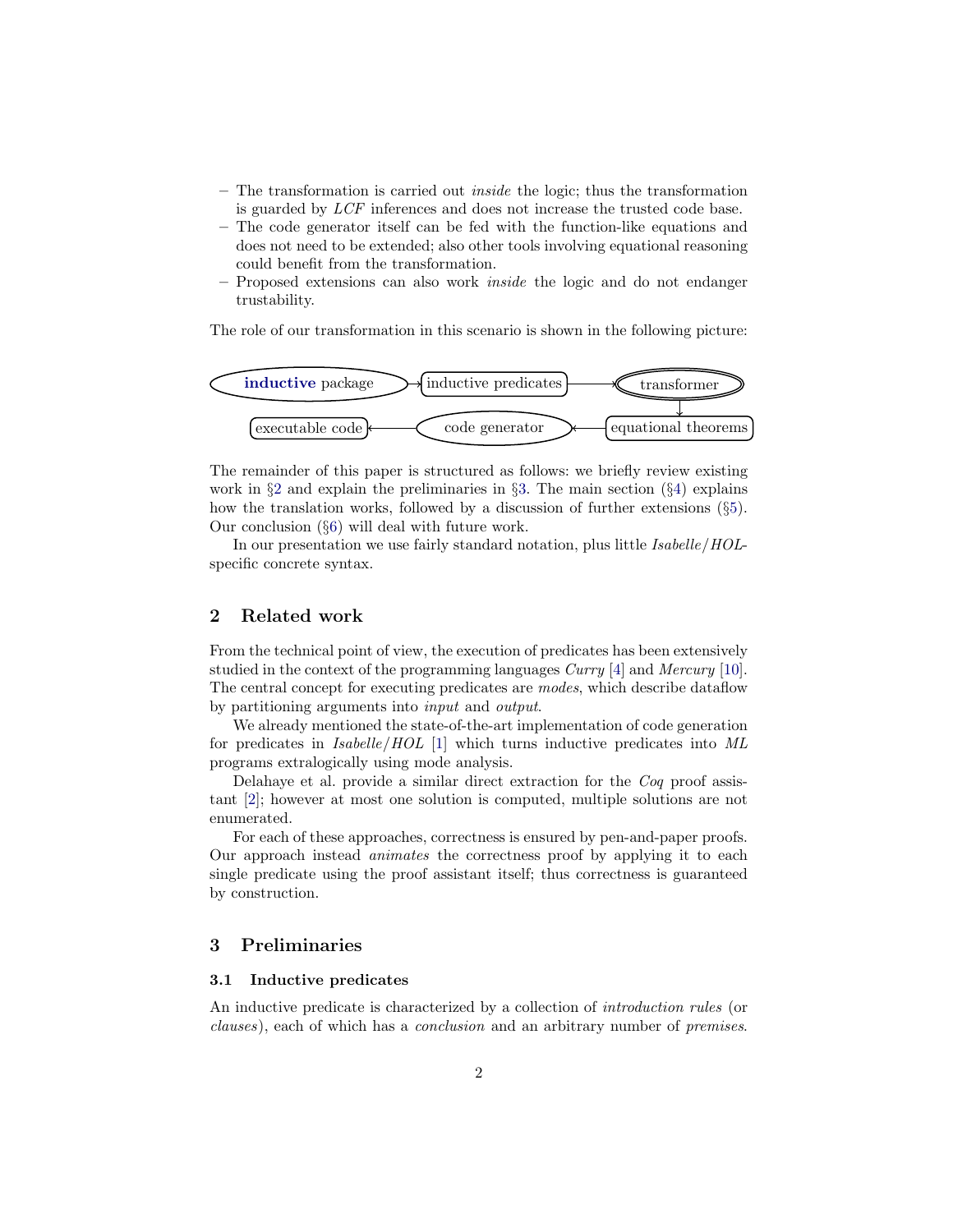- $-$  The transformation is carried out *inside* the logic; thus the transformation is guarded by LCF inferences and does not increase the trusted code base.
- The code generator itself can be fed with the function-like equations and does not need to be extended; also other tools involving equational reasoning could benefit from the transformation.
- Proposed extensions can also work inside the logic and do not endanger trustability.

The role of our transformation in this scenario is shown in the following picture:



The remainder of this paper is structured as follows: we briefly review existing work in §[2](#page-1-0) and explain the preliminaries in §[3.](#page-1-1) The main section (§[4\)](#page-3-0) explains how the translation works, followed by a discussion of further extensions (§[5\)](#page-12-0). Our conclusion (§[6\)](#page-14-0) will deal with future work.

In our presentation we use fairly standard notation, plus little Isabelle/HOLspecific concrete syntax.

# <span id="page-1-0"></span>2 Related work

From the technical point of view, the execution of predicates has been extensively studied in the context of the programming languages  $Curry$  [\[4\]](#page-15-3) and Mercury [\[10\]](#page-15-4). The central concept for executing predicates are modes, which describe dataflow by partitioning arguments into input and output.

We already mentioned the state-of-the-art implementation of code generation for predicates in Isabelle/HOL [\[1\]](#page-15-2) which turns inductive predicates into ML programs extralogically using mode analysis.

Delahaye et al. provide a similar direct extraction for the Coq proof assistant [\[2\]](#page-15-5); however at most one solution is computed, multiple solutions are not enumerated.

For each of these approaches, correctness is ensured by pen-and-paper proofs. Our approach instead animates the correctness proof by applying it to each single predicate using the proof assistant itself; thus correctness is guaranteed by construction.

# <span id="page-1-1"></span>3 Preliminaries

### 3.1 Inductive predicates

An inductive predicate is characterized by a collection of introduction rules (or clauses), each of which has a conclusion and an arbitrary number of premises.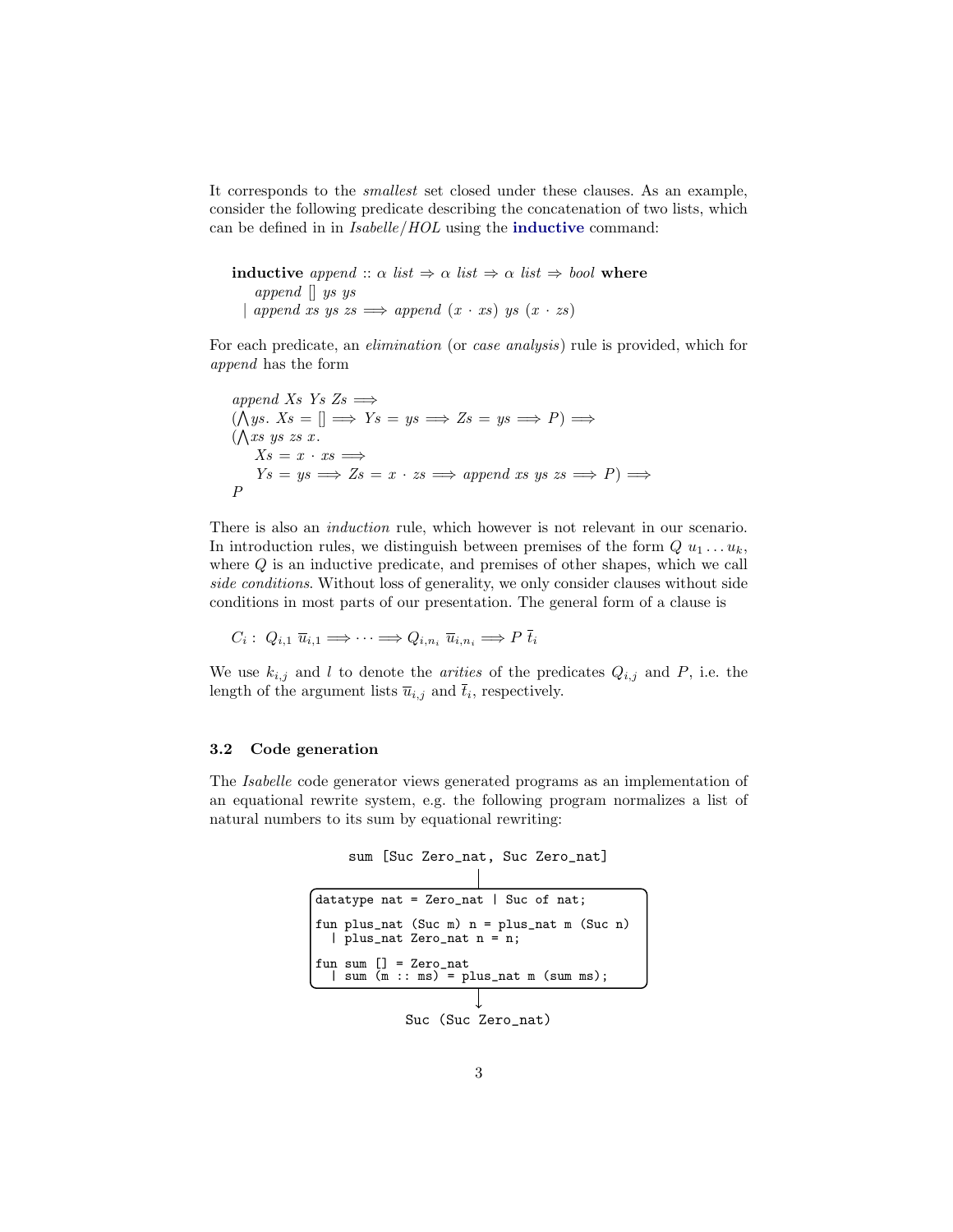It corresponds to the smallest set closed under these clauses. As an example, consider the following predicate describing the concatenation of two lists, which can be defined in in  $Isabelle/HOL$  using the **[inductive](#page-0-0)** command:

```
inductive append :: \alpha list \Rightarrow \alpha list \Rightarrow \alpha list \Rightarrow bool where
    append \parallel ys ys
  | append xs ys zs \implies append (x \cdot xs) ys (x \cdot zs)
```
For each predicate, an *elimination* (or *case analysis*) rule is provided, which for append has the form

\n
$$
\text{append } Xs \, Ys \, Zs \implies
$$
\n $(\bigwedge ys. Xs = [] \implies Ys = ys \implies Zs = ys \implies P) \implies$ \n $(\bigwedge xs \, ys \, zs \, x \implies$ \n $Xs = x \cdot xs \implies$ \n $Ys = ys \implies Zs = x \cdot zs \implies$ \n $P \implies P$ \n

There is also an induction rule, which however is not relevant in our scenario. In introduction rules, we distinguish between premises of the form  $Q u_1 \ldots u_k$ , where Q is an inductive predicate, and premises of other shapes, which we call side conditions. Without loss of generality, we only consider clauses without side conditions in most parts of our presentation. The general form of a clause is

$$
C_i: Q_{i,1} \overline{u}_{i,1} \Longrightarrow \cdots \Longrightarrow Q_{i,n_i} \overline{u}_{i,n_i} \Longrightarrow P \overline{t}_i
$$

We use  $k_{i,j}$  and l to denote the *arities* of the predicates  $Q_{i,j}$  and P, i.e. the length of the argument lists  $\overline{u}_{i,j}$  and  $\overline{t}_i$ , respectively.

#### 3.2 Code generation

The Isabelle code generator views generated programs as an implementation of an equational rewrite system, e.g. the following program normalizes a list of natural numbers to its sum by equational rewriting:

sum [Suc Zero\_nat, Suc Zero\_nat] Suc (Suc Zero\_nat) datatype nat = Zero\_nat | Suc of nat; fun plus\_nat (Suc m) n = plus\_nat m (Suc n) | plus\_nat Zero\_nat n = n; fun sum [] = Zero\_nat  $|\text{sum}(\bar{m}::\bar{m})|=$  plus\_nat  $m(\text{sum} m);$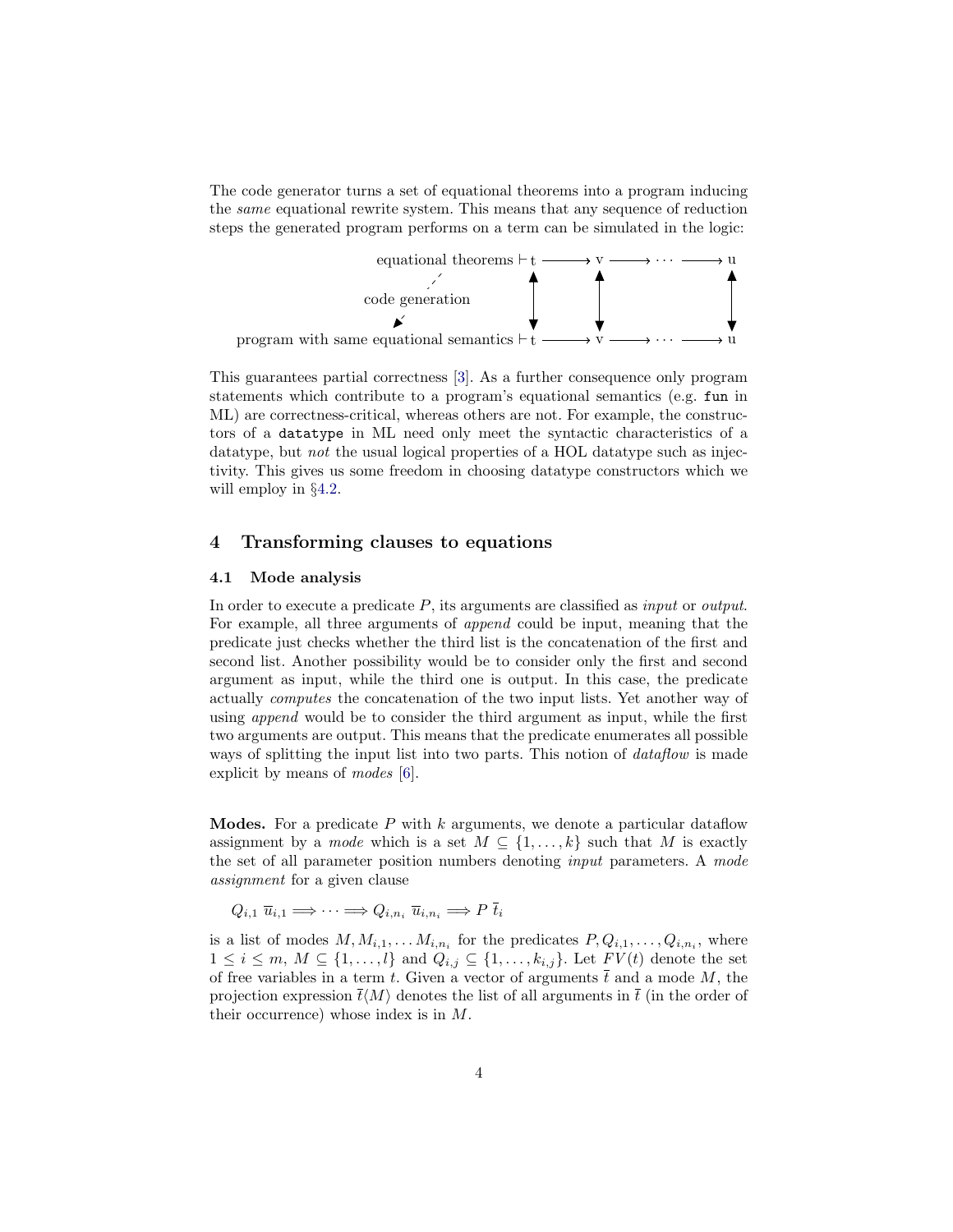The code generator turns a set of equational theorems into a program inducing the same equational rewrite system. This means that any sequence of reduction steps the generated program performs on a term can be simulated in the logic:



This guarantees partial correctness [\[3\]](#page-15-6). As a further consequence only program statements which contribute to a program's equational semantics (e.g. fun in ML) are correctness-critical, whereas others are not. For example, the constructors of a datatype in ML need only meet the syntactic characteristics of a datatype, but not the usual logical properties of a HOL datatype such as injectivity. This gives us some freedom in choosing datatype constructors which we will employ in §[4.2.](#page-4-0)

## <span id="page-3-0"></span>4 Transforming clauses to equations

## 4.1 Mode analysis

In order to execute a predicate  $P$ , its arguments are classified as *input* or *output*. For example, all three arguments of append could be input, meaning that the predicate just checks whether the third list is the concatenation of the first and second list. Another possibility would be to consider only the first and second argument as input, while the third one is output. In this case, the predicate actually computes the concatenation of the two input lists. Yet another way of using append would be to consider the third argument as input, while the first two arguments are output. This means that the predicate enumerates all possible ways of splitting the input list into two parts. This notion of *dataflow* is made explicit by means of modes [\[6\]](#page-15-7).

**Modes.** For a predicate  $P$  with  $k$  arguments, we denote a particular dataflow assignment by a mode which is a set  $M \subseteq \{1, \ldots, k\}$  such that M is exactly the set of all parameter position numbers denoting input parameters. A mode assignment for a given clause

 $Q_{i,1} \overline{u}_{i,1} \Longrightarrow \cdots \Longrightarrow Q_{i,n_i} \overline{u}_{i,n_i} \Longrightarrow P \overline{t}_i$ 

is a list of modes  $M, M_{i,1}, \ldots, M_{i,n_i}$  for the predicates  $P, Q_{i,1}, \ldots, Q_{i,n_i}$ , where  $1 \leq i \leq m, M \subseteq \{1, \ldots, l\}$  and  $Q_{i,j} \subseteq \{1, \ldots, k_{i,j}\}$ . Let  $FV(t)$  denote the set of free variables in a term t. Given a vector of arguments  $\bar{t}$  and a mode M, the projection expression  $\bar{t}(M)$  denotes the list of all arguments in  $\bar{t}$  (in the order of their occurrence) whose index is in M.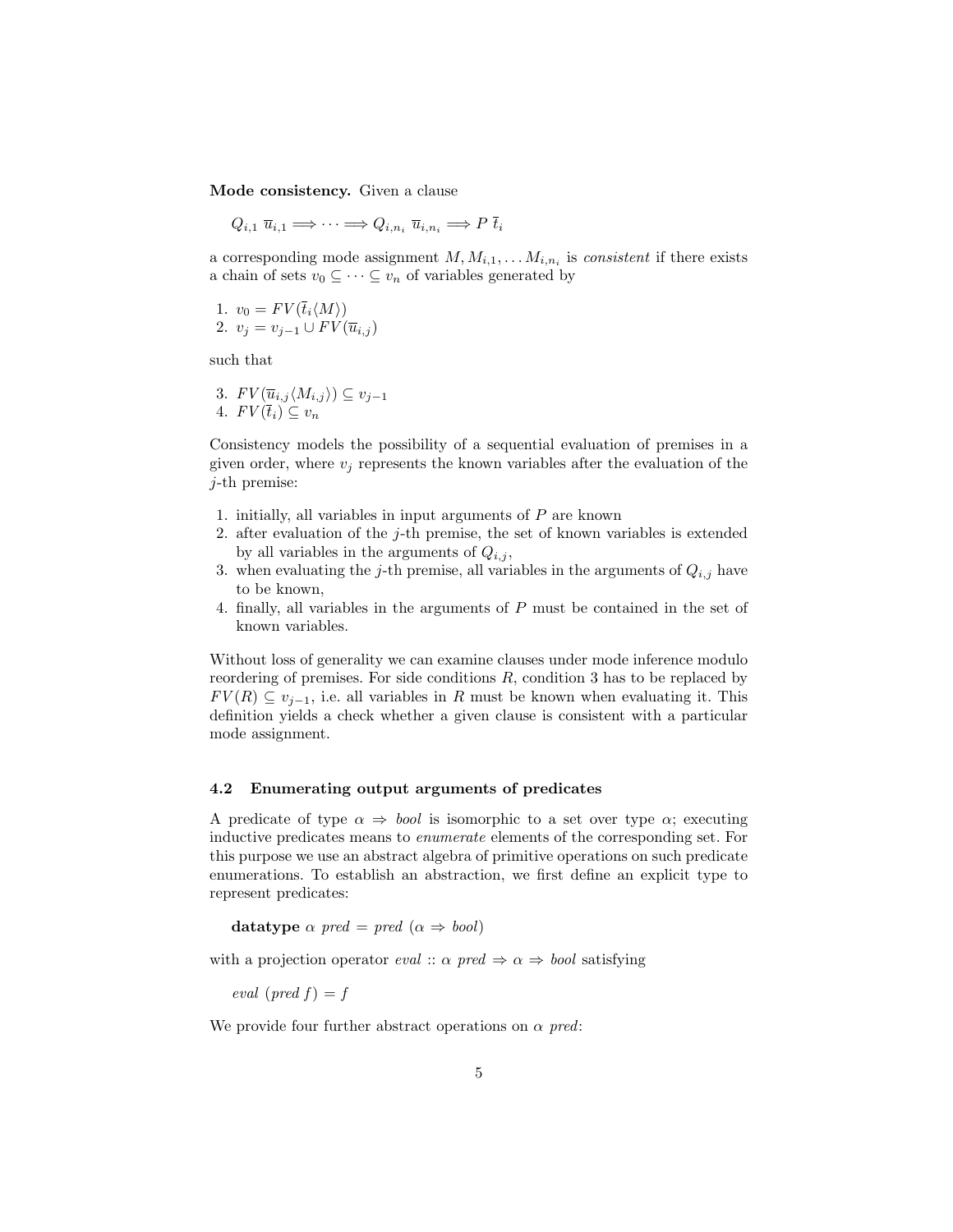Mode consistency. Given a clause

 $Q_{i,1} \overline{u}_{i,1} \Longrightarrow \cdots \Longrightarrow Q_{i,n_i} \overline{u}_{i,n_i} \Longrightarrow P \overline{t}_i$ 

a corresponding mode assignment  $M, M_{i,1}, \ldots, M_{i,n_i}$  is *consistent* if there exists a chain of sets  $v_0 \subseteq \cdots \subseteq v_n$  of variables generated by

1. 
$$
v_0 = FV(\bar{t}_i \langle M \rangle)
$$
  
2.  $v_j = v_{j-1} \cup FV(\bar{u}_{i,j})$ 

such that

3. 
$$
FV(\overline{u}_{i,j}\langle M_{i,j}\rangle) \subseteq v_{j-1}
$$
  
4.  $FV(\overline{t}_i) \subseteq v_n$ 

Consistency models the possibility of a sequential evaluation of premises in a given order, where  $v_i$  represents the known variables after the evaluation of the j-th premise:

- 1. initially, all variables in input arguments of P are known
- 2. after evaluation of the j-th premise, the set of known variables is extended by all variables in the arguments of  $Q_{i,j}$ ,
- 3. when evaluating the j-th premise, all variables in the arguments of  $Q_{i,j}$  have to be known,
- 4. finally, all variables in the arguments of P must be contained in the set of known variables.

Without loss of generality we can examine clauses under mode inference modulo reordering of premises. For side conditions  $R$ , condition 3 has to be replaced by  $FV(R) \subseteq v_{i-1}$ , i.e. all variables in R must be known when evaluating it. This definition yields a check whether a given clause is consistent with a particular mode assignment.

### <span id="page-4-0"></span>4.2 Enumerating output arguments of predicates

A predicate of type  $\alpha \Rightarrow \text{bool}$  is isomorphic to a set over type  $\alpha$ ; executing inductive predicates means to enumerate elements of the corresponding set. For this purpose we use an abstract algebra of primitive operations on such predicate enumerations. To establish an abstraction, we first define an explicit type to represent predicates:

datatype  $\alpha$  pred = pred  $(\alpha \Rightarrow \text{bool})$ 

with a projection operator *eval* ::  $\alpha$  *pred*  $\Rightarrow \alpha \Rightarrow$  bool satisfying

eval (pred  $f$ ) = f

We provide four further abstract operations on  $\alpha$  pred: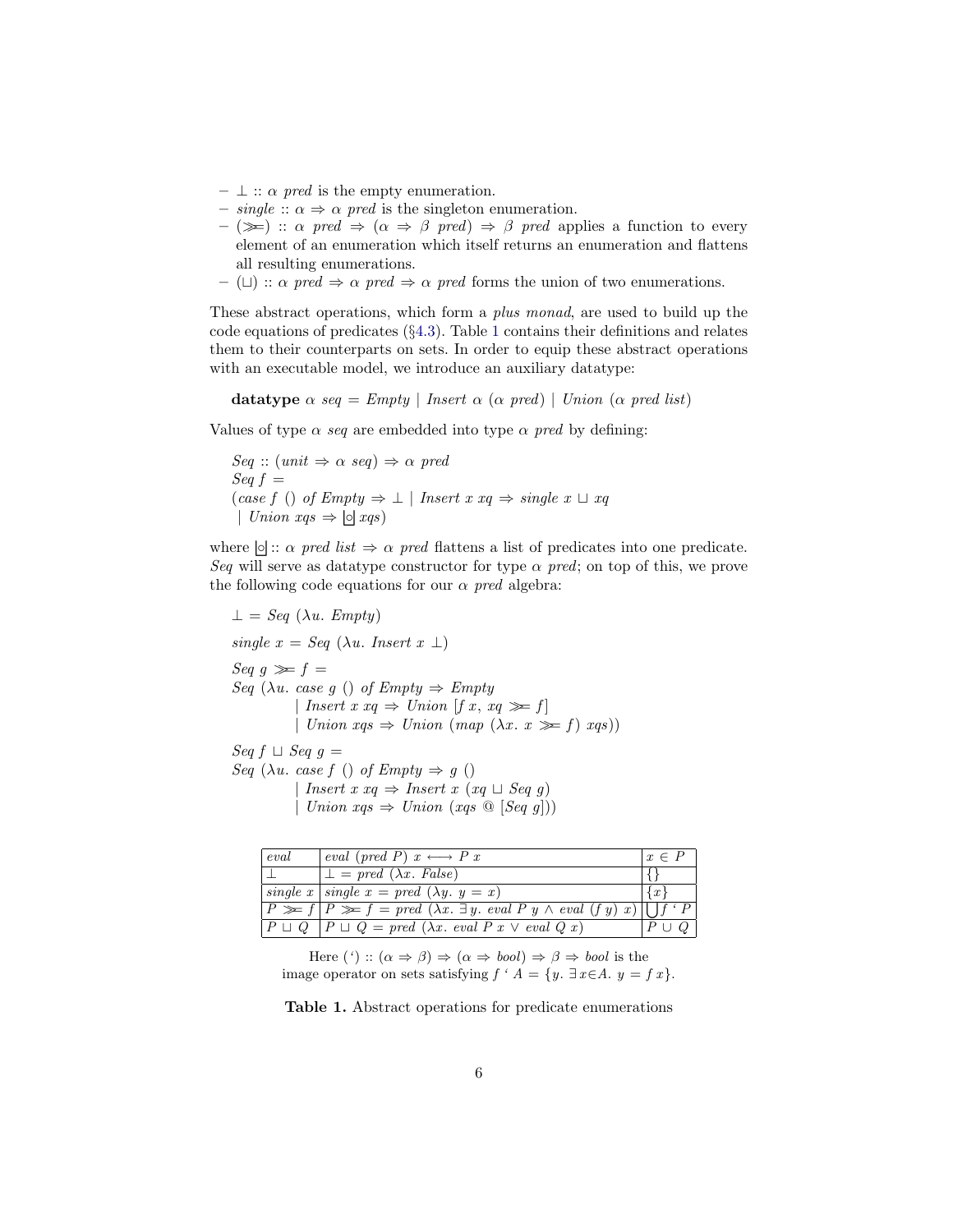- $\perp$ :  $\alpha$  pred is the empty enumeration.
- $\sigma single :: \alpha \Rightarrow \alpha \text{ pred is the singleton enumeration.}$
- ( $\gg$ ) ::  $\alpha$  pred  $\Rightarrow$  ( $\alpha \Rightarrow \beta$  pred)  $\Rightarrow \beta$  pred applies a function to every element of an enumeration which itself returns an enumeration and flattens all resulting enumerations.
- ( $\Box$ ) ::  $\alpha$  pred  $\Rightarrow \alpha$  pred  $\Rightarrow \alpha$  pred forms the union of two enumerations.

These abstract operations, which form a plus monad, are used to build up the code equations of predicates (§[4.3\)](#page-6-0). Table [1](#page-5-0) contains their definitions and relates them to their counterparts on sets. In order to equip these abstract operations with an executable model, we introduce an auxiliary datatype:

datatype  $\alpha$  seq = Empty | Insert  $\alpha$  ( $\alpha$  pred) | Union ( $\alpha$  pred list)

Values of type  $\alpha$  seq are embedded into type  $\alpha$  pred by defining:

 $Seq :: (unit \Rightarrow \alpha \, seq) \Rightarrow \alpha \, pred$  $Seq f =$ (case f () of Empty  $\Rightarrow \bot$  | Insert  $x \, xq \Rightarrow \text{single } x \sqcup xq$ | Union  $xqs \Rightarrow \Box \, xqs$ 

where  $\bigcirc$ :  $\alpha$  pred list  $\Rightarrow \alpha$  pred flattens a list of predicates into one predicate. Seq will serve as data type constructor for type  $\alpha$  pred; on top of this, we prove the following code equations for our  $\alpha$  *pred* algebra:

```
\bot = Seq (\lambda u. Empty)single x = Seq(\lambda u. Insert x \perp)Seq q \gg f =Seq (λu. case g () of Empty \Rightarrow EmptyInsert x xq \Rightarrow Union [fx, xq \gg f]| Union xqs \Rightarrow Union \ (map \ (\lambda x. \ x \gg f) \ xqs))Seq f \sqcup Seq g =Seq (λu. case f () of Empty \Rightarrow g ()
             Insert\ x\ xq \Rightarrow Insert\ x\ (xq \sqcup Seq\ g)| Union xqs \Rightarrow Union (xqs \& [Seq q]))
```

| eval | eval (pred P) $x \leftrightarrow P x$                                                  | $x \in P$ |
|------|----------------------------------------------------------------------------------------|-----------|
|      | $\perp = pred (\lambda x. False)$                                                      |           |
|      | single x single $x = pred (\lambda y. y = x)$                                          | $\{x\}$   |
|      | $P \gg f   P \gg f = pred (\lambda x. \exists y. eval P y \land eval (f y) x)    f' P$ |           |
|      | $ P \sqcup Q   P \sqcup Q = pred (\lambda x. eval P x \vee eval Q x)$                  |           |

Here (') ::  $(\alpha \Rightarrow \beta) \Rightarrow (\alpha \Rightarrow \text{bool}) \Rightarrow \beta \Rightarrow \text{bool}$  is the image operator on sets satisfying  $f \circ A = \{y : \exists x \in A : y = f x\}.$ 

<span id="page-5-0"></span>Table 1. Abstract operations for predicate enumerations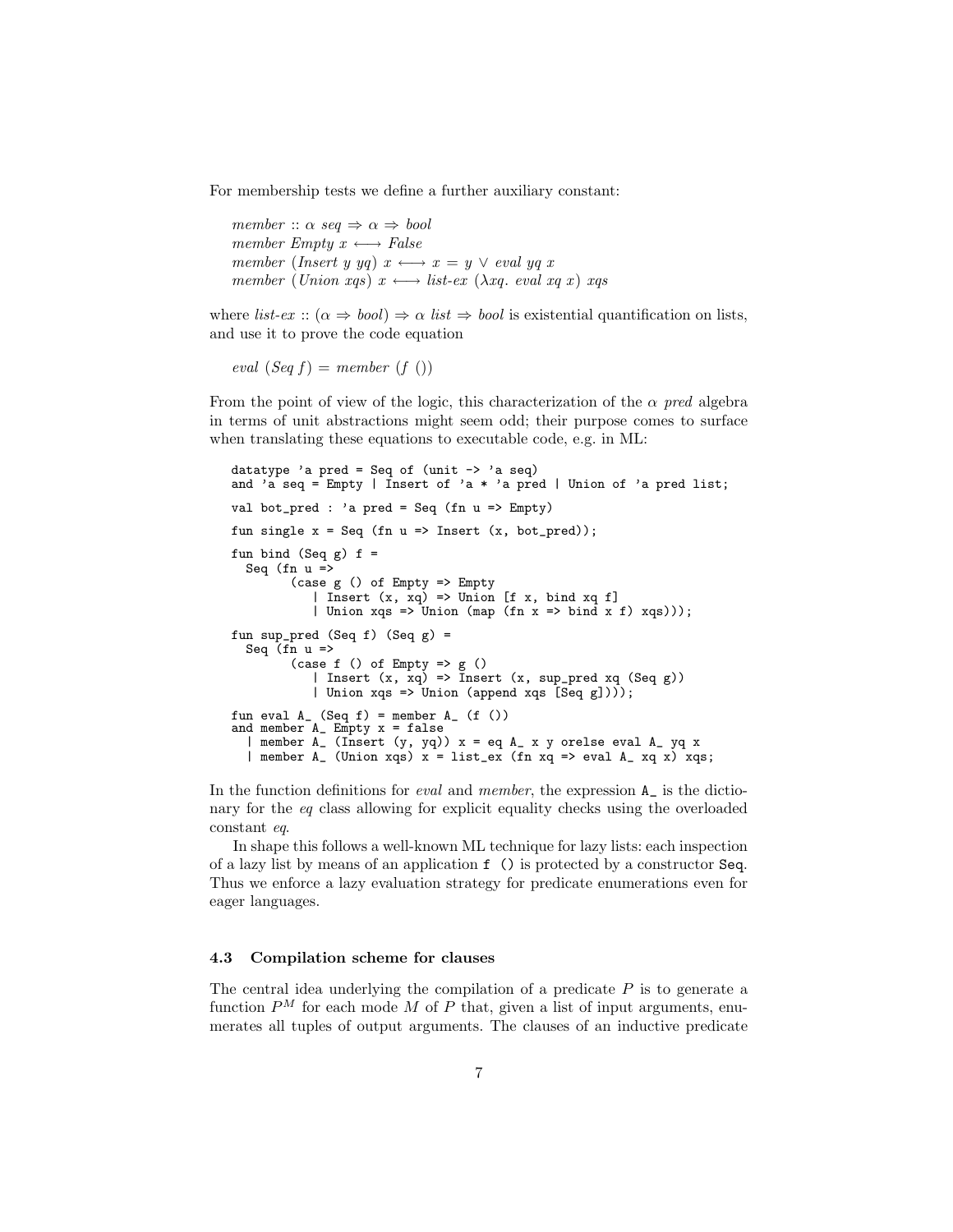For membership tests we define a further auxiliary constant:

```
member :: \alpha seq \Rightarrow \alpha \Rightarrow \text{bool}member Empty x \leftrightarrow False
member (Insert y yq) x \leftrightarrow x = y \lor eval yq xmember (Union xqs) x \leftrightarrow list-ex (\lambda xq, eval xq x) xqs
```
where *list-ex* ::  $(\alpha \Rightarrow bool) \Rightarrow \alpha$  *list*  $\Rightarrow bool$  is existential quantification on lists, and use it to prove the code equation

eval  $(Seq\ f) = member\ (f\ ())$ 

From the point of view of the logic, this characterization of the  $\alpha$  pred algebra in terms of unit abstractions might seem odd; their purpose comes to surface when translating these equations to executable code, e.g. in ML:

```
datatype 'a pred = Seq of (unit \rightarrow 'a seq)and 'a seq = Empty | Insert of 'a * 'a pred | Union of 'a pred list;
val bot_pred : 'a pred = Seq (fn u => Empty)
fun single x = Seq (fn u => Insert (x, bot_pred));fun bind (Seq g) f =
  Seq (fn u \Rightarrow(case g () of Empty => Empty
            | Insert (x, xq) => Union [f x, bind xq f]
            | Union xqs => Union (map (fn x => bind x f) xqs)));
fun sup_pred (Seq f) (Seq g) =
  Seq (fn u \Rightarrow(case f () of Empty => g ()
            | Insert (x, xq) \Rightarrow Insert (x, \sup_{x \in \mathbb{R}^n} (Seq g))
            | Union xqs => Union (append xqs [Seq g])));
fun eval A_ (Seq f) = member A_ (f ())
and member A_ Empty x = false
  | member A_ (Insert (y, yq)) x = eq A_ x y orelse eval A_ yq x
  | member A_ (Union xqs) x = list_ex (fn xq => eval A_ xq x) xqs;
```
In the function definitions for *eval* and *member*, the expression  $A_{\text{I}}$  is the dictionary for the eq class allowing for explicit equality checks using the overloaded constant eq.

In shape this follows a well-known ML technique for lazy lists: each inspection of a lazy list by means of an application f () is protected by a constructor Seq. Thus we enforce a lazy evaluation strategy for predicate enumerations even for eager languages.

### <span id="page-6-0"></span>4.3 Compilation scheme for clauses

The central idea underlying the compilation of a predicate  $P$  is to generate a function  $P^M$  for each mode M of P that, given a list of input arguments, enumerates all tuples of output arguments. The clauses of an inductive predicate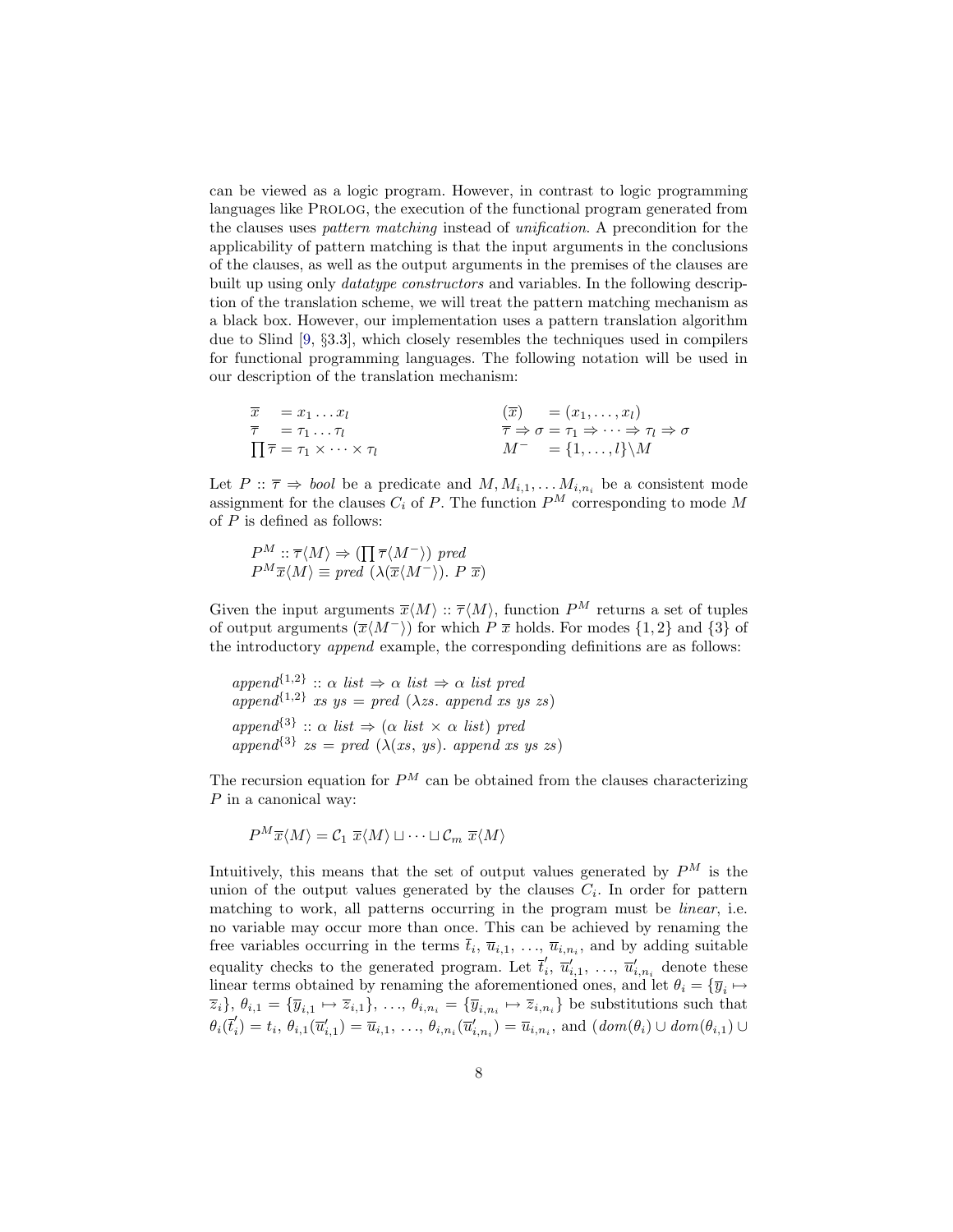can be viewed as a logic program. However, in contrast to logic programming languages like PROLOG, the execution of the functional program generated from the clauses uses pattern matching instead of unification. A precondition for the applicability of pattern matching is that the input arguments in the conclusions of the clauses, as well as the output arguments in the premises of the clauses are built up using only *datatype constructors* and variables. In the following description of the translation scheme, we will treat the pattern matching mechanism as a black box. However, our implementation uses a pattern translation algorithm due to Slind [\[9,](#page-15-8) §3.3], which closely resembles the techniques used in compilers for functional programming languages. The following notation will be used in our description of the translation mechanism:

$$
\begin{array}{rcl}\n\overline{x} & = x_1 \dots x_l \\
\overline{\tau} & = \tau_1 \dots \tau_l \\
\overline{\tau} & = \tau_1 \times \dots \times \tau_l\n\end{array}\n\qquad\n\begin{array}{rcl}\n(\overline{x}) & = (x_1, \dots, x_l) \\
\overline{\tau} & \Rightarrow \sigma = \tau_1 \Rightarrow \dots \Rightarrow \tau_l \Rightarrow \sigma \\
M^- & = \{1, \dots, l\} \setminus M\n\end{array}
$$

Let  $P :: \overline{\tau} \Rightarrow \text{bool}$  be a predicate and  $M, M_{i,1}, \ldots, M_{i,n_i}$  be a consistent mode assignment for the clauses  $C_i$  of P. The function  $P^M$  corresponding to mode M of  $P$  is defined as follows:

$$
P^M
$$
 ::  $\overline{\tau}\langle M \rangle \Rightarrow (\prod \overline{\tau}\langle M^{-} \rangle)$  pred  
\n $P^M \overline{x}\langle M \rangle \equiv pred (\lambda(\overline{x}\langle M^{-} \rangle)).$  P  $\overline{x}$ )

Given the input arguments  $\overline{x}(M) :: \overline{\tau}(M)$ , function  $P^M$  returns a set of tuples of output arguments  $(\overline{x}(M^{-})$  for which P  $\overline{x}$  holds. For modes {1, 2} and {3} of the introductory append example, the corresponding definitions are as follows:

$$
append^{\{1,2\}} :: \alpha list \Rightarrow \alpha list \Rightarrow \alpha list pred
$$
  
append<sup>{1,2}</sup> xs ys = pred (Xzs. append xs ys zs)  
append<sup>{3}</sup> :: \alpha list \Rightarrow (\alpha list \times \alpha list) pred  
append<sup>{3}</sup> zs = pred (\lambda(xs, ys). append xs ys zs)

The recursion equation for  $P^M$  can be obtained from the clauses characterizing P in a canonical way:

$$
P^M \overline{x} \langle M \rangle = \mathcal{C}_1 \overline{x} \langle M \rangle \sqcup \cdots \sqcup \mathcal{C}_m \overline{x} \langle M \rangle
$$

Intuitively, this means that the set of output values generated by  $P^M$  is the union of the output values generated by the clauses  $C_i$ . In order for pattern matching to work, all patterns occurring in the program must be *linear*, i.e. no variable may occur more than once. This can be achieved by renaming the free variables occurring in the terms  $\bar{t}_i, \bar{u}_{i,1}, \ldots, \bar{u}_{i,n_i}$ , and by adding suitable equality checks to the generated program. Let  $\bar{t}'_i$  $\overline{u}'_i, \overline{u}'_{i,1}, \ldots, \overline{u}'_{i,n_i}$  denote these linear terms obtained by renaming the aforementioned ones, and let  $\theta_i = \{ \overline{y}_i \mapsto$  $\{\overline{z}_i\}, \theta_{i,1} = \{\overline{y}_{i,1} \mapsto \overline{z}_{i,1}\}, \ldots, \theta_{i,n_i} = \{\overline{y}_{i,n_i} \mapsto \overline{z}_{i,n_i}\}\$  be substitutions such that  $\theta_i(\overline{t}_i^{\prime}% ,\overline{t}_i^{\prime})\in\mathcal{I}^{\prime\prime}$  $\overline{u}'_i$  =  $t_i$ ,  $\theta_{i,1}(\overline{u}'_{i,1}) = \overline{u}_{i,1}, \ldots, \theta_{i,n_i}(\overline{u}'_{i,n_i}) = \overline{u}_{i,n_i}$ , and  $(dom(\theta_i) \cup dom(\theta_{i,1}))$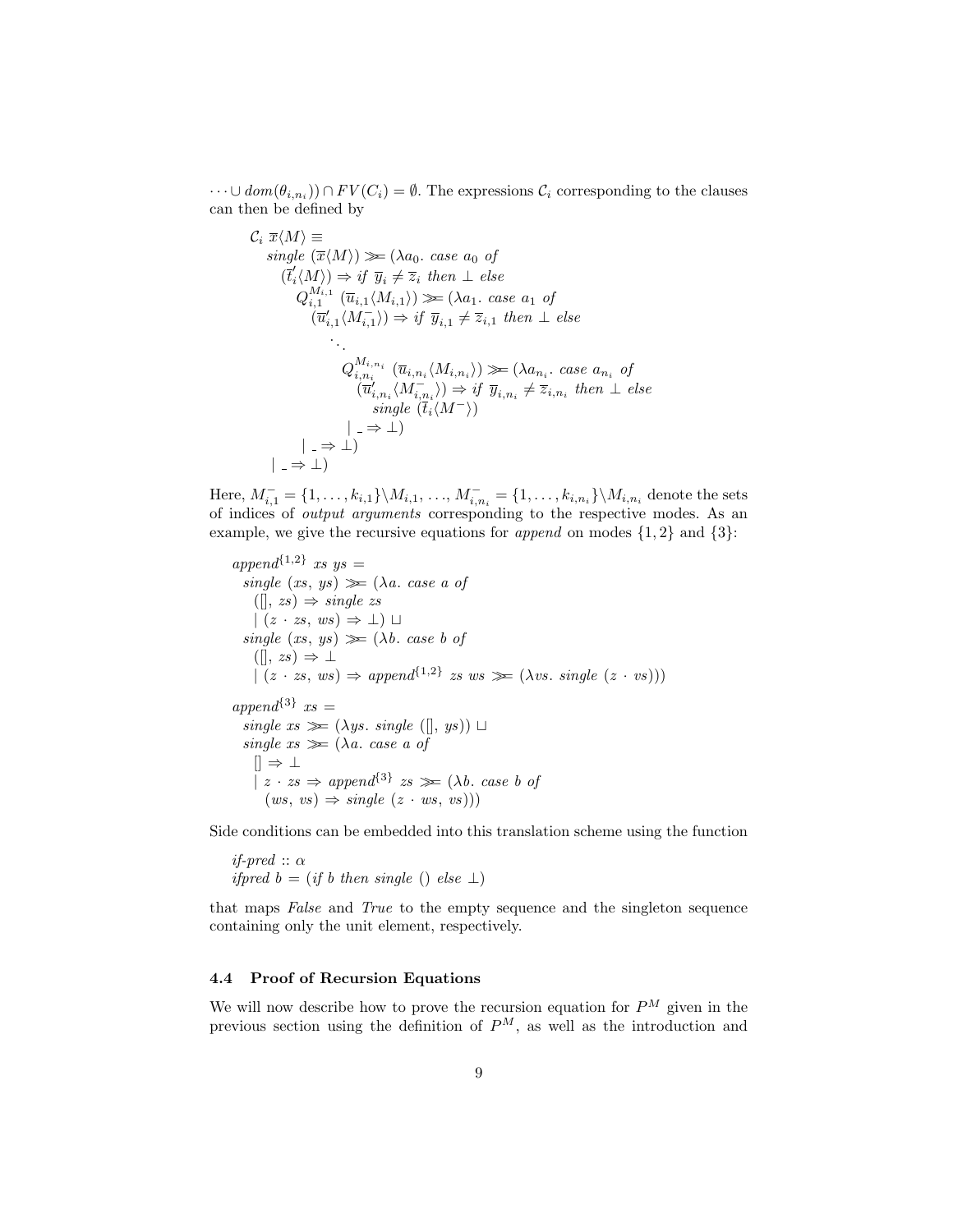$\dots \cup dom(\theta_{i,n_i})\cap FV(C_i) = \emptyset$ . The expressions  $C_i$  corresponding to the clauses can then be defined by

$$
C_i \overline{x}\langle M \rangle \equiv
$$
  
\nsingle  $(\overline{x}\langle M \rangle) \gg (\lambda a_0 \cdot \text{case } a_0 \text{ of } (t'_i \langle M \rangle) \Rightarrow \text{if } \overline{y}_i \neq \overline{z}_i \text{ then } \bot \text{ else } O_{i,1}^{M_{i,1}}(\overline{u}_{i,1} \langle M_{i,1} \rangle) \gg (\lambda a_1 \cdot \text{case } a_1 \text{ of } (t'_{i,1} \langle M_{i,1} \rangle)) \Rightarrow \text{if } \overline{y}_{i,1} \neq \overline{z}_{i,1} \text{ then } \bot \text{ else } ...$   
\n
$$
O_{i,n_i}^{M_{i,n_i}}(\overline{u}_{i,n_i} \langle M_{i,n_i} \rangle) \gg (\lambda a_n \cdot \text{case } a_n \text{ of } (t''_{i,n_i} \langle M_{i,n_i} \rangle)) \gg (\lambda a_n \cdot \text{case } a_n \text{ of } (t''_{i,n_i} \langle M_{i,n_i} \rangle)) \Rightarrow \text{if } \overline{y}_{i,n_i} \neq \overline{z}_{i,n_i} \text{ then } \bot \text{ else } \text{single } (t_i \langle M^- \rangle)) \Big|_{-} \Rightarrow \bot
$$
  
\n $|_{-} \Rightarrow \bot) \Big|_{-} \Rightarrow \bot$   
\n $|_{-} \Rightarrow \bot) \Big|_{-} \Rightarrow \bot$ 

Here,  $M_{i,1}^- = \{1, \ldots, k_{i,1}\} \backslash M_{i,1}, \ldots, M_{i,n_i}^- = \{1, \ldots, k_{i,n_i}\} \backslash M_{i,n_i}$  denote the sets of indices of output arguments corresponding to the respective modes. As an example, we give the recursive equations for *append* on modes  $\{1, 2\}$  and  $\{3\}$ :

```
append{1,2} xs ys =
  single (xs, ys) \geqslant (\lambda a. case a of)(||, zs) \Rightarrow single \; zs|(z \cdot zs, ws) \Rightarrow \bot) \sqcupsingle (xs, ys) \gg \ (\lambda b. \ \textit{case} \ b \ \textit{of} \ )(||, zs) \Rightarrow \bot|(z \cdot zs, ws) \Rightarrow append^{1,2} \; zsws \rangle (|\langle x \cdot \text{xs}, \text{single} \; (z \cdot \text{vs}) \rangle)append{3} xs =single xs \gg (\lambda ys. \ single ([], ys)) \sqcupsingle xs \gg (\lambda a. case a of
    \parallel \Rightarrow \perp| z \cdot zs \Rightarrow append^{3} \approx \gg (\lambda b \cdot case \, b \, o)(ws, vs) \Rightarrow single (z \cdot ws, vs))
```
Side conditions can be embedded into this translation scheme using the function

if-pred :: 
$$
\alpha
$$
  
ifpred b = (if b then single () else  $\perp$ )

that maps False and True to the empty sequence and the singleton sequence containing only the unit element, respectively.

## 4.4 Proof of Recursion Equations

We will now describe how to prove the recursion equation for  $P^M$  given in the previous section using the definition of  $P^M$ , as well as the introduction and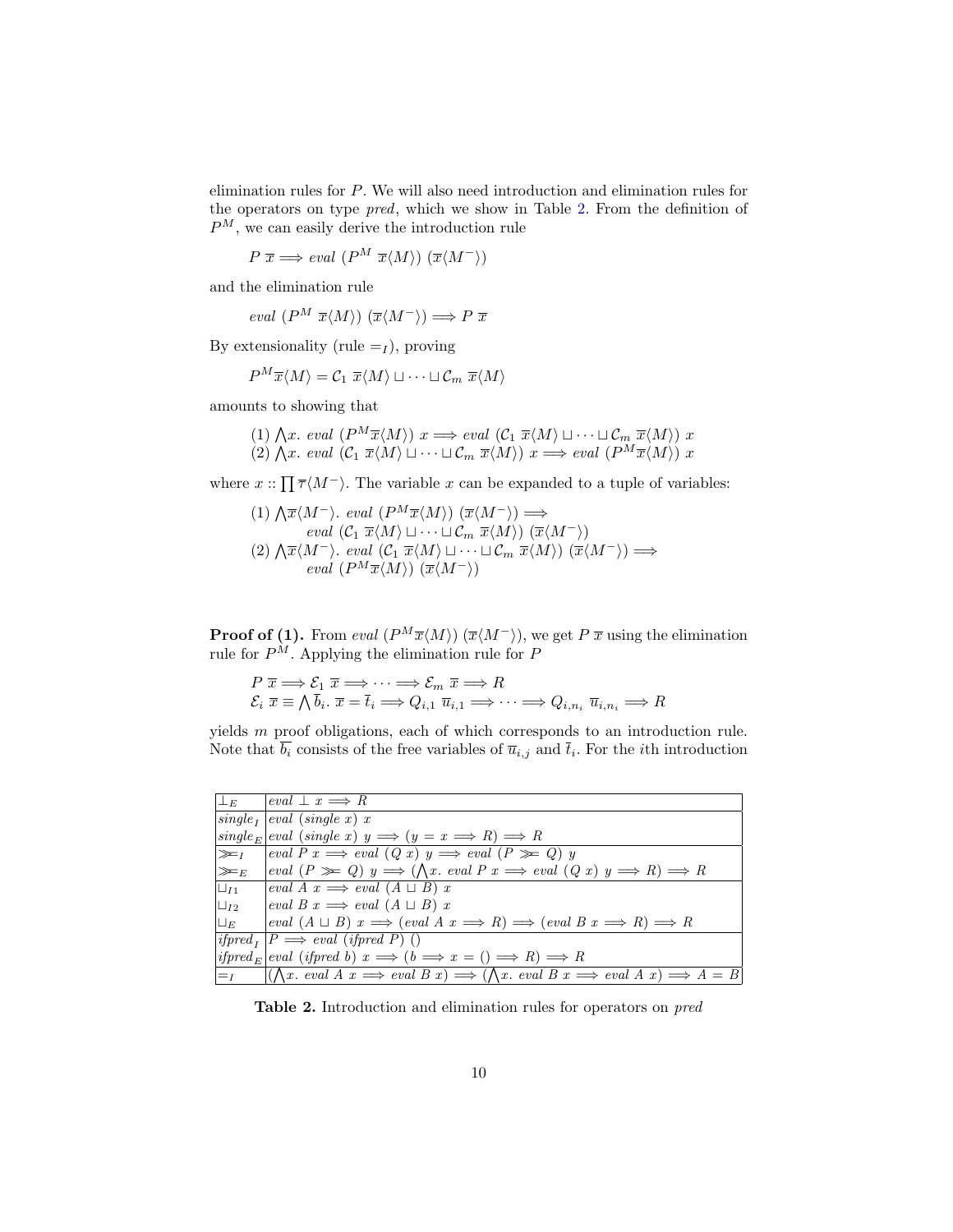elimination rules for P. We will also need introduction and elimination rules for the operators on type pred, which we show in Table [2.](#page-9-0) From the definition of  $P^{M}$ , we can easily derive the introduction rule

 $P \overline{x} \Longrightarrow \text{eval }(P^M \overline{x}\langle M \rangle) \langle \overline{x}\langle M^- \rangle)$ 

and the elimination rule

eval 
$$
(P^M \overline{x} \langle M \rangle) (\overline{x} \langle M^{-} \rangle) \Longrightarrow P \overline{x}
$$

By extensionality (rule  $=_I$ ), proving

$$
P^M \overline{x} \langle M \rangle = \mathcal{C}_1 \overline{x} \langle M \rangle \sqcup \cdots \sqcup \mathcal{C}_m \overline{x} \langle M \rangle
$$

amounts to showing that

(1) 
$$
\Lambda x
$$
. eval  $(P^M \overline{x}\langle M \rangle) x \Longrightarrow eval (C_1 \overline{x}\langle M \rangle \sqcup \cdots \sqcup C_m \overline{x}\langle M \rangle) x$   
(2)  $\Lambda x$ . eval  $(C_1 \overline{x}\langle M \rangle \sqcup \cdots \sqcup C_m \overline{x}\langle M \rangle) x \Longrightarrow eval (P^M \overline{x}\langle M \rangle) x$ 

where  $x : \prod \overline{\tau} \langle M^{-} \rangle$ . The variable x can be expanded to a tuple of variables:

(1) 
$$
\Lambda \overline{x} \langle M^{-} \rangle
$$
. eval  $(P^{M} \overline{x} \langle M \rangle) (\overline{x} \langle M^{-} \rangle) \implies$   
\neval  $(C_{1} \overline{x} \langle M \rangle \sqcup \cdots \sqcup C_{m} \overline{x} \langle M \rangle) (\overline{x} \langle M^{-} \rangle)$   
\n(2)  $\Lambda \overline{x} \langle M^{-} \rangle$ . eval  $(C_{1} \overline{x} \langle M \rangle \sqcup \cdots \sqcup C_{m} \overline{x} \langle M \rangle) (\overline{x} \langle M^{-} \rangle) \implies$   
\neval  $(P^{M} \overline{x} \langle M \rangle) (\overline{x} \langle M^{-} \rangle)$ 

**Proof of (1).** From eval  $(P^M\overline{x}\langle M\rangle)$   $(\overline{x}\langle M^-\rangle)$ , we get P  $\overline{x}$  using the elimination rule for  $P^M$ . Applying the elimination rule for P

$$
P \overline{x} \Longrightarrow \mathcal{E}_1 \overline{x} \Longrightarrow \cdots \Longrightarrow \mathcal{E}_m \overline{x} \Longrightarrow R
$$
  

$$
\mathcal{E}_i \overline{x} \equiv \bigwedge \overline{b}_i. \overline{x} = \overline{t}_i \Longrightarrow Q_{i,1} \overline{u}_{i,1} \Longrightarrow \cdots \Longrightarrow Q_{i,n_i} \overline{u}_{i,n_i} \Longrightarrow R
$$

yields m proof obligations, each of which corresponds to an introduction rule. Note that  $b_i$  consists of the free variables of  $\overline{u}_{i,j}$  and  $\overline{t}_i$ . For the *i*th introduction

| $\perp_E$          | $ eval \perp x \Longrightarrow R$                                                                                                                                                       |
|--------------------|-----------------------------------------------------------------------------------------------------------------------------------------------------------------------------------------|
|                    | $ single_t $ eval $(single\ x)$ x                                                                                                                                                       |
|                    | $ single_E eval (single x) y \Longrightarrow (y = x \Longrightarrow R) \Longrightarrow R$                                                                                               |
| $\gg_I$            | $\vert eval \; P \; x \Longrightarrow eval \; (Q \; x) \; y \Longrightarrow eval \; (P \gg Q) \; y$                                                                                     |
| $ \gg_{E}$         | eval $(P \gg Q)$ $y \Longrightarrow (\Lambda x$ . eval $P x \Longrightarrow eval (Q x) y \Longrightarrow R \Longrightarrow R$                                                           |
| $ _{\square_{I1}}$ | $\text{eval } A \ x \Longrightarrow \text{eval } (A \sqcup B) \ x$                                                                                                                      |
| $ _{\square_{I2}}$ | eval $Bx \Longrightarrow eval (A \sqcup B) x$                                                                                                                                           |
| $ \sqcup_E $       | eval $(A \sqcup B)$ $x \Longrightarrow (eval \land x \Longrightarrow R) \Longrightarrow (eval \land x \Longrightarrow R) \Longrightarrow R$                                             |
|                    | $ ifpred_{I} P \implies eval (ifpred P)$                                                                                                                                                |
|                    | $ ifpred_E eval (ifpred b) x \Longrightarrow (b \Longrightarrow x = () \Longrightarrow R) \Longrightarrow R$                                                                            |
| $ =_I$             | $ (\bigwedge x. \text{ eval } A \ x \Longrightarrow \text{ eval } B \ x) \Longrightarrow (\bigwedge x. \text{ eval } B \ x \Longrightarrow \text{ eval } A \ x) \Longrightarrow A = B $ |

<span id="page-9-0"></span>Table 2. Introduction and elimination rules for operators on pred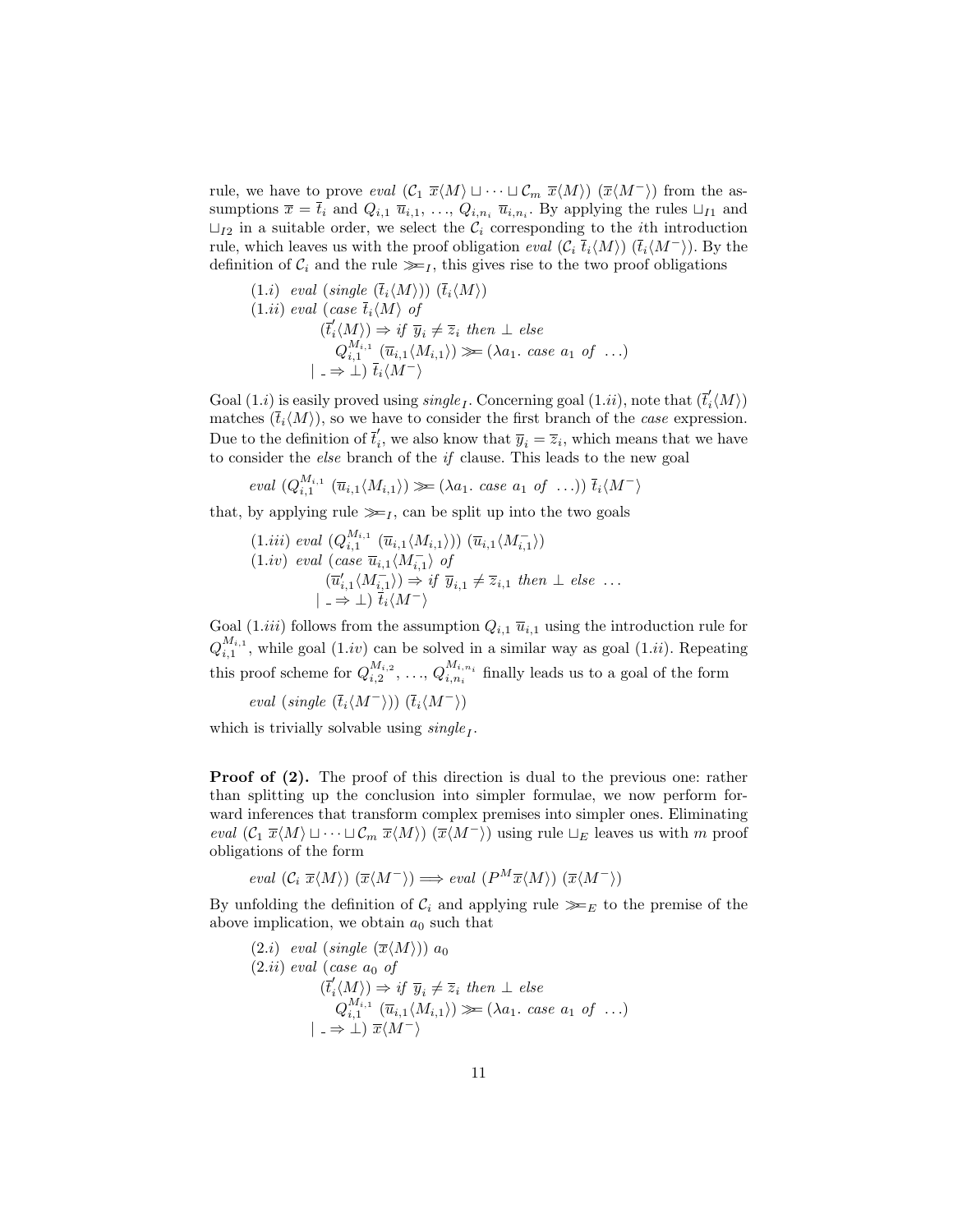rule, we have to prove eval  $(\mathcal{C}_1 \ \overline{x}\langle M\rangle \sqcup \cdots \sqcup \mathcal{C}_m \ \overline{x}\langle M\rangle) \ (\overline{x}\langle M^{-}\rangle)$  from the assumptions  $\overline{x} = \overline{t}_i$  and  $Q_{i,1}$   $\overline{u}_{i,1}, \ldots, Q_{i,n_i}$   $\overline{u}_{i,n_i}$ . By applying the rules  $\sqcup_{I_1}$  and  $\sqcup_{I2}$  in a suitable order, we select the  $\mathcal{C}_i$  corresponding to the  $i\text{th}$  introduction rule, which leaves us with the proof obligation *eval*  $(C_i \bar{t}_i \langle M \rangle) (\bar{t}_i \langle M^{-}\rangle)$ . By the definition of  $C_i$  and the rule  $\ggg I$ , this gives rise to the two proof obligations

(1.i) *eval* (single 
$$
(\bar{t}_i \langle M \rangle))
$$
  $(\bar{t}_i \langle M \rangle)$   
\n(1.ii) *eval* (case  $\bar{t}_i \langle M \rangle$  of  
\n $(\bar{t}'_i \langle M \rangle) \Rightarrow$  if  $\bar{y}_i \neq \bar{z}_i$  then  $\bot$  else  
\n $Q_{i,1}^{M_{i,1}} (\bar{u}_{i,1} \langle M_{i,1} \rangle) \gg (\lambda a_1 \text{ case } a_1 \text{ of } \ldots)$   
\n $|_{-} \Rightarrow \bot) \bar{t}_i \langle M^{-} \rangle$ 

Goal (1.*i*) is easily proved using  $single<sub>I</sub>$ . Concerning goal (1.*ii*), note that  $(\bar{t}'_i)$  $_i'\langle M\rangle)$ matches  $(\bar{t}_i\langle M \rangle)$ , so we have to consider the first branch of the *case* expression. Due to the definition of  $\bar{t}'_i$  $\bar{y}_i$ , we also know that  $\bar{y}_i = \bar{z}_i$ , which means that we have to consider the else branch of the if clause. This leads to the new goal

eval 
$$
(Q_{i,1}^{M_{i,1}} (\overline{u}_{i,1} \langle M_{i,1} \rangle) \gg (\lambda a_1 \text{ case } a_1 \text{ of } \ldots)) \overline{t}_i \langle M^- \rangle
$$

that, by applying rule  $\gg I$ , can be split up into the two goals

$$
(1.iii) \text{ eval } (Q_{i,1}^{M_{i,1}} (\overline{u}_{i,1} \langle M_{i,1} \rangle)) (\overline{u}_{i,1} \langle M_{i,1}^{-}) )
$$
  

$$
(1.iv) \text{ eval } (\text{case } \overline{u}_{i,1} \langle M_{i,1}^{-} \rangle \text{ of}
$$
  

$$
(\overline{u}'_{i,1} \langle M_{i,1}^{-} \rangle) \Rightarrow \text{if } \overline{y}_{i,1} \neq \overline{z}_{i,1} \text{ then } \perp \text{ else } \dots
$$
  

$$
|\square \Rightarrow \perp) \overline{t}_{i} \langle M^{-} \rangle
$$

Goal (1.*iii*) follows from the assumption  $Q_{i,1}$   $\overline{u}_{i,1}$  using the introduction rule for  $Q_{i,1}^{M_{i,1}}$ , while goal  $(1$ .*iv*) can be solved in a similar way as goal  $(1$ .*ii*). Repeating  $i,1$ this proof scheme for  $Q_{i,2}^{M_{i,2}}, \ldots, Q_{i,n_i}^{M_{i,n_i}}$  finally leads us to a goal of the form

eval (single 
$$
(\bar{t}_i \langle M^- \rangle)
$$
)  $(\bar{t}_i \langle M^- \rangle)$ 

which is trivially solvable using  $single_I$ .

Proof of  $(2)$ . The proof of this direction is dual to the previous one: rather than splitting up the conclusion into simpler formulae, we now perform forward inferences that transform complex premises into simpler ones. Eliminating eval  $(C_1 \overline{x}\langle M\rangle \sqcup \cdots \sqcup C_m \overline{x}\langle M\rangle)$   $(\overline{x}\langle M^{-}\rangle)$  using rule  $\sqcup_E$  leaves us with m proof obligations of the form

eval 
$$
(C_i \overline{x}\langle M \rangle) (\overline{x}\langle M^{-} \rangle) \Longrightarrow eval (P^M \overline{x}\langle M \rangle) (\overline{x}\langle M^{-} \rangle)
$$

By unfolding the definition of  $\mathcal{C}_i$  and applying rule  $\gg_E$  to the premise of the above implication, we obtain  $a_0$  such that

(2.i) *eval* (single 
$$
(\overline{x}\langle M \rangle))
$$
  $a_0$   
\n(2.ii) *eval* (case  $a_0$  of  
\n $(\overline{t}'_i\langle M \rangle) \Rightarrow$  if  $\overline{y}_i \neq \overline{z}_i$  then  $\perp$  else  
\n $Q_{i,1}^{M_{i,1}} (\overline{u}_{i,1}\langle M_{i,1} \rangle) \gg (\lambda a_1 \text{. case } a_1 \text{ of } \dots)$   
\n $|_{-} \Rightarrow \perp) \overline{x}\langle M^{-} \rangle$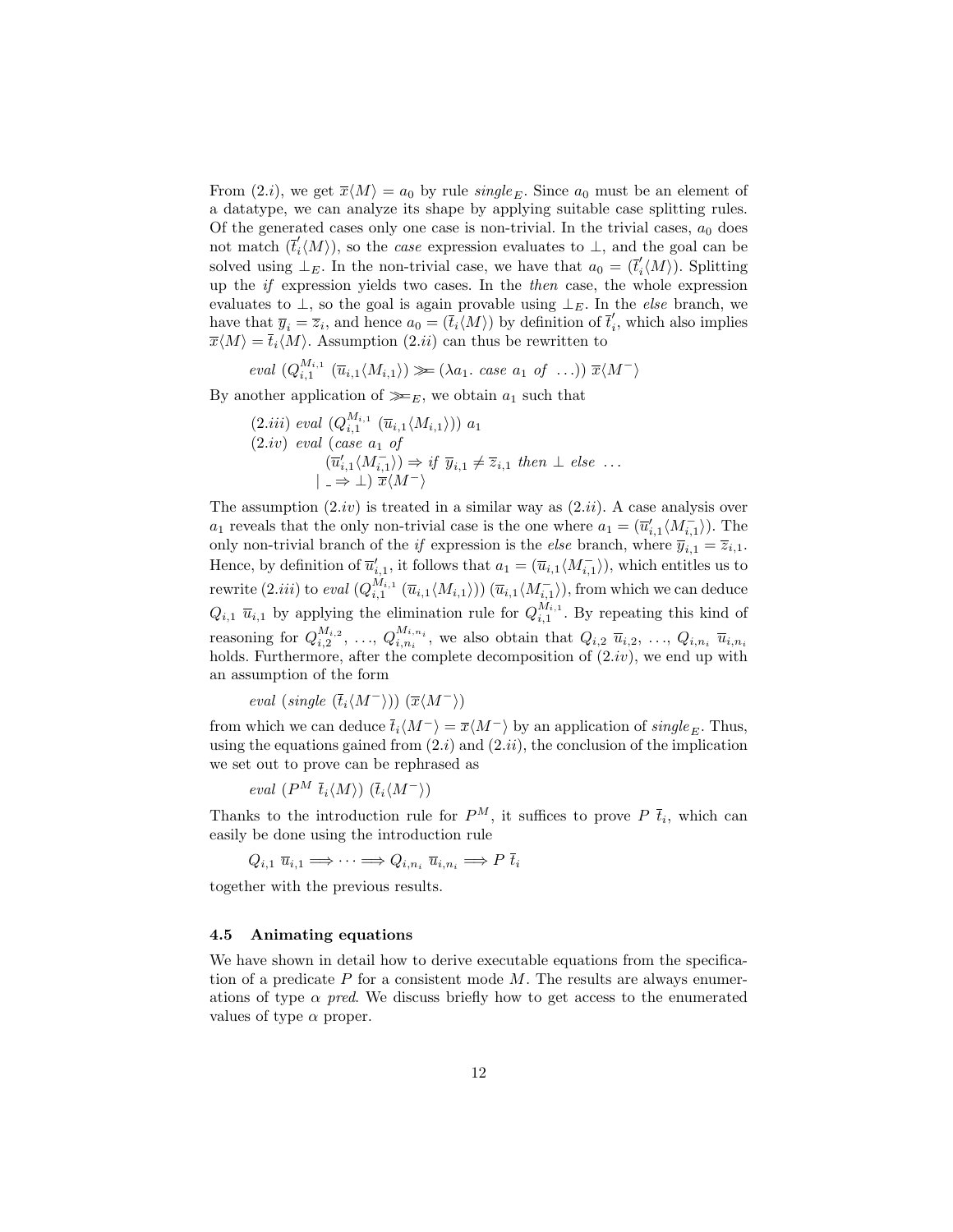From  $(2.i)$ , we get  $\overline{x}\langle M\rangle = a_0$  by rule  $single_E$ . Since  $a_0$  must be an element of a datatype, we can analyze its shape by applying suitable case splitting rules. Of the generated cases only one case is non-trivial. In the trivial cases,  $a_0$  does not match  $(\bar{t}_i)$  $\binom{n}{i}(M)$ , so the *case* expression evaluates to  $\perp$ , and the goal can be solved using  $\perp_E$ . In the non-trivial case, we have that  $a_0 = (\bar{t}_i)$  $i \langle M \rangle$ ). Splitting up the  $if$  expression yields two cases. In the *then* case, the whole expression evaluates to  $\perp$ , so the goal is again provable using  $\perp_E$ . In the *else* branch, we have that  $\overline{y}_i = \overline{z}_i$ , and hence  $a_0 = (\overline{t}_i \langle M \rangle)$  by definition of  $\overline{t}'_i$  $i<sub>i</sub>$ , which also implies  $\overline{x}\langle M\rangle = \overline{t}_i\langle M\rangle$ . Assumption  $(2.ii)$  can thus be rewritten to

eval 
$$
(Q_{i,1}^{M_{i,1}} (\overline{u}_{i,1} \langle M_{i,1} \rangle) \gg (\lambda a_1 \text{ case } a_1 \text{ of } \ldots)) \overline{x} \langle M^{-} \rangle
$$

By another application of  $\gg_E$ , we obtain  $a_1$  such that

$$
(2.iii) \text{ eval } (Q_{i,1}^{M_{i,1}} (\overline{u}_{i,1} \langle M_{i,1} \rangle)) a_1
$$
  
\n
$$
(2.iv) \text{ eval } (\text{case } a_1 \text{ of } \overline{u}'_{i,1} \langle M_{i,1} \rangle) \Rightarrow \text{if } \overline{y}_{i,1} \neq \overline{z}_{i,1} \text{ then } \perp \text{ else } \dots
$$
  
\n
$$
|\rightarrow \pm \rangle \overline{x} \langle M^{-} \rangle
$$

The assumption  $(2.iv)$  is treated in a similar way as  $(2.ii)$ . A case analysis over  $a_1$  reveals that the only non-trivial case is the one where  $a_1 = (\overline{u}'_{i,1} \langle M_{i,1}^- \rangle)$ . The only non-trivial branch of the *if* expression is the *else* branch, where  $\overline{y}_{i,1} = \overline{z}_{i,1}$ . Hence, by definition of  $\overline{u}'_{i,1}$ , it follows that  $a_1 = (\overline{u}_{i,1}\langle M_{i,1}^{-}\rangle)$ , which entitles us to rewrite  $(2.iii)$  to *eval*  $(Q_{i,1}^{M_{i,1}} (\overline{u}_{i,1} \langle M_{i,1} \rangle)) (\overline{u}_{i,1} \langle M_{i,1}^{-} \rangle)$ , from which we can deduce  $Q_{i,1}$   $\overline{u}_{i,1}$  by applying the elimination rule for  $Q_{i,1}^{M_{i,1}}$ . By repeating this kind of reasoning for  $Q_{i,2}^{M_{i,2}},\ldots,Q_{i,n_i}^{M_{i,n_i}},$  we also obtain that  $Q_{i,2}$   $\overline{u}_{i,2},\ldots,Q_{i,n_i}$   $\overline{u}_{i,n_i}$ holds. Furthermore, after the complete decomposition of  $(2.iv)$ , we end up with an assumption of the form

eval (single 
$$
(\bar{t}_i \langle M^- \rangle))
$$
  $(\bar{x} \langle M^- \rangle)$ 

from which we can deduce  $\overline{t}_i\langle M^-\rangle = \overline{x}\langle M^-\rangle$  by an application of single<sub>E</sub>. Thus, using the equations gained from  $(2.i)$  and  $(2.ii)$ , the conclusion of the implication we set out to prove can be rephrased as

$$
eval (P^M \bar{t}_i \langle M \rangle) (\bar{t}_i \langle M^- \rangle)
$$

Thanks to the introduction rule for  $P^M$ , it suffices to prove  $P$   $\overline{t}_i$ , which can easily be done using the introduction rule

$$
Q_{i,1} \overline{u}_{i,1} \Longrightarrow \cdots \Longrightarrow Q_{i,n_i} \overline{u}_{i,n_i} \Longrightarrow P \overline{t}_i
$$

together with the previous results.

#### 4.5 Animating equations

We have shown in detail how to derive executable equations from the specification of a predicate  $P$  for a consistent mode  $M$ . The results are always enumerations of type  $\alpha$  pred. We discuss briefly how to get access to the enumerated values of type  $\alpha$  proper.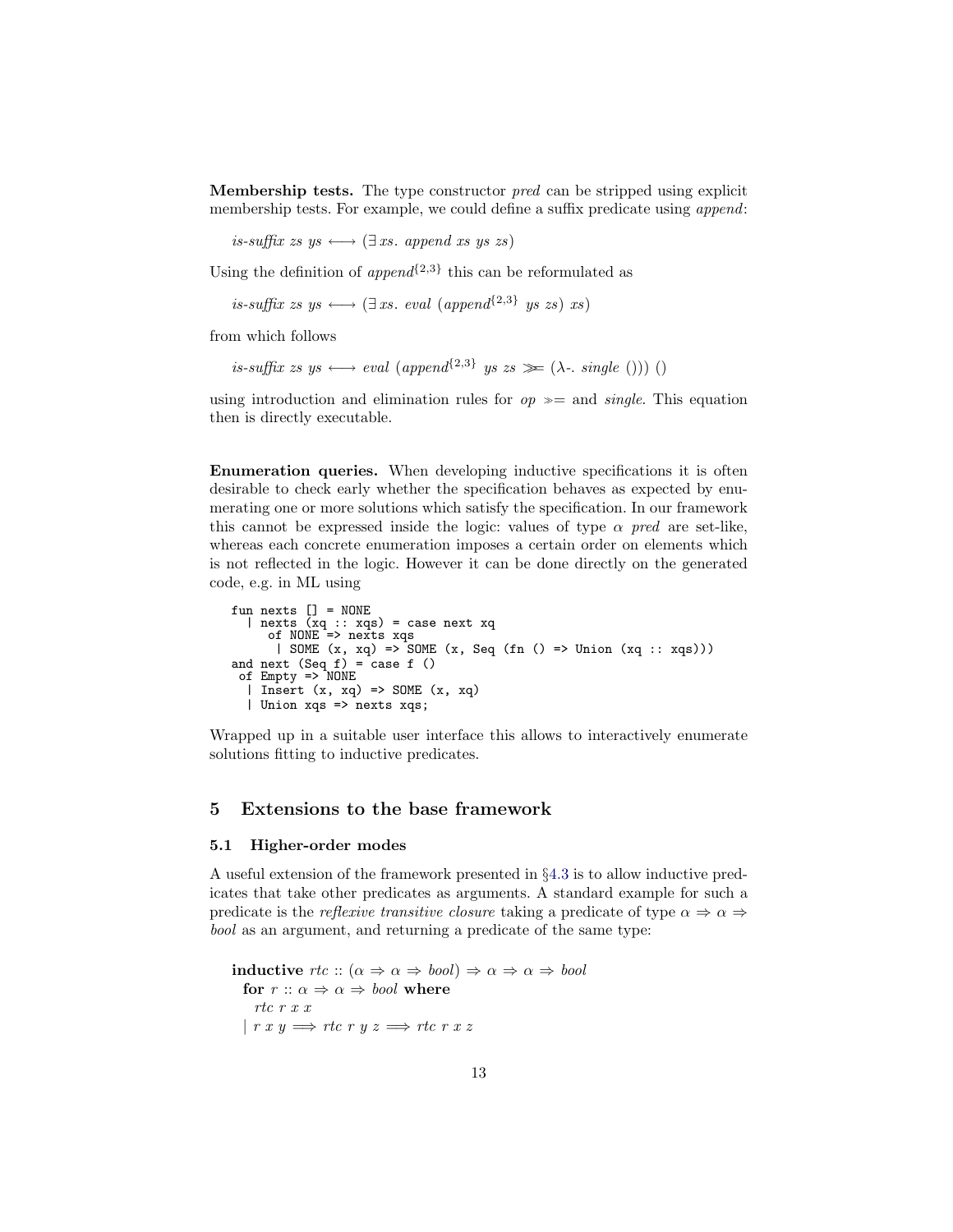Membership tests. The type constructor pred can be stripped using explicit membership tests. For example, we could define a suffix predicate using *append*:

is-suffix zs  $ys \leftrightarrow (\exists \text{xs. append} \text{xs} \text{ys} \text{zs})$ 

Using the definition of  $append{2,3}$  this can be reformulated as

is-suffix zs ys  $\longleftrightarrow$  ( $\exists$  xs. eval (append<sup>{2,3}</sup> ys zs) xs)

from which follows

is-suffix zs ys  $\longleftrightarrow$  eval (append<sup>{2,3}</sup> ys zs  $\geqslant (\lambda$ -. single ())) ()

using introduction and elimination rules for  $op \geq \equiv$  and *single*. This equation then is directly executable.

Enumeration queries. When developing inductive specifications it is often desirable to check early whether the specification behaves as expected by enumerating one or more solutions which satisfy the specification. In our framework this cannot be expressed inside the logic: values of type  $\alpha$  pred are set-like, whereas each concrete enumeration imposes a certain order on elements which is not reflected in the logic. However it can be done directly on the generated code, e.g. in ML using

```
fun nexts [] = NONE
| nexts (xq :: xqs) = case next xq
of NONE => nexts xqs
        | SOME (x, xq) => SOME (x, Seq (fn () => Union (xq :: xqs)))
and next (Seq f) = case f ()
of Empty => NONE
  | Insert (x, xq) \Rightarrow SOME (x, xq)| Union xqs => nexts xqs;
```
Wrapped up in a suitable user interface this allows to interactively enumerate solutions fitting to inductive predicates.

## <span id="page-12-0"></span>5 Extensions to the base framework

### 5.1 Higher-order modes

A useful extension of the framework presented in §[4.3](#page-6-0) is to allow inductive predicates that take other predicates as arguments. A standard example for such a predicate is the *reflexive transitive closure* taking a predicate of type  $\alpha \Rightarrow \alpha \Rightarrow$ bool as an argument, and returning a predicate of the same type:

inductive  $rtc :: (\alpha \Rightarrow \alpha \Rightarrow bool) \Rightarrow \alpha \Rightarrow \alpha \Rightarrow bool$ for  $r :: \alpha \Rightarrow \alpha \Rightarrow \text{bool}$  where rtc r x x  $\vert r x y \Rightarrow r t c r y z \Rightarrow r t c r x z$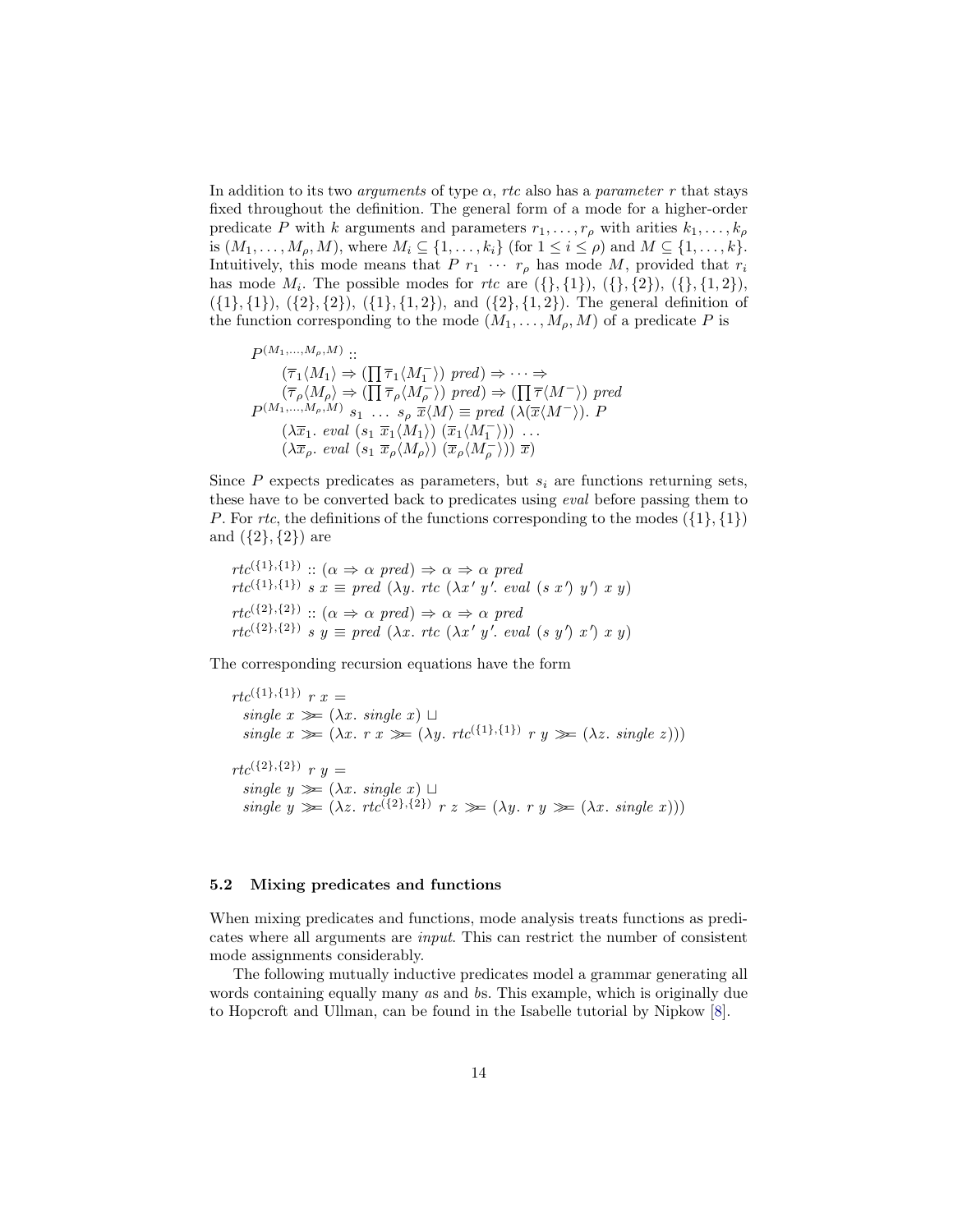In addition to its two *arguments* of type  $\alpha$ , rtc also has a *parameter* r that stays fixed throughout the definition. The general form of a mode for a higher-order predicate P with k arguments and parameters  $r_1, \ldots, r_\rho$  with arities  $k_1, \ldots, k_\rho$ is  $(M_1, ..., M_\rho, M)$ , where  $M_i \subseteq \{1, ..., k_i\}$  (for  $1 \le i \le \rho$ ) and  $M \subseteq \{1, ..., k\}$ . Intuitively, this mode means that  $P r_1 \cdots r_\rho$  has mode  $M$ , provided that  $r_i$ has mode  $M_i$ . The possible modes for rtc are  $({}, \{1\}), (\{},{}, \{2\}), (\{},{}, \{1,2\}),$  $({1}, {1}, {1}), ({2}, {2}), ({1}, {1}, {1}, {2}),$  and  $({2}, {1}, {2}).$  The general definition of the function corresponding to the mode  $(M_1, \ldots, M_\rho, M)$  of a predicate P is

$$
P^{(M_1,...,M_\rho,M)}::
$$
  
\n
$$
(\overline{\tau}_1\langle M_1\rangle \Rightarrow (\prod \overline{\tau}_1\langle M_1^-\rangle) \text{ pred}) \Rightarrow \cdots \Rightarrow
$$
  
\n
$$
(\overline{\tau}_\rho\langle M_\rho\rangle \Rightarrow (\prod \overline{\tau}_\rho\langle M_\rho^-\rangle) \text{ pred}) \Rightarrow (\prod \overline{\tau}\langle M^-\rangle) \text{ pred}
$$
  
\n
$$
P^{(M_1,...,M_\rho,M)} s_1 \cdots s_\rho \overline{x}\langle M\rangle \equiv pred (\lambda(\overline{x}\langle M^-)\rangle) \cdot P
$$
  
\n
$$
(\lambda \overline{x}_1. \text{ eval } (s_1 \overline{x}_1\langle M_1\rangle) (\overline{x}_1\langle M_1^-\rangle)) \cdots
$$
  
\n
$$
(\lambda \overline{x}_\rho. \text{ eval } (s_1 \overline{x}_\rho\langle M_\rho\rangle) (\overline{x}_\rho\langle M_\rho^-\rangle)) \overline{x})
$$

Since  $P$  expects predicates as parameters, but  $s_i$  are functions returning sets, these have to be converted back to predicates using *eval* before passing them to P. For rtc, the definitions of the functions corresponding to the modes  $({1}, {1})$ and  $({2}, {2})$  are

 $rtc^{\{\{1\},\{1\}\}} :: (\alpha \Rightarrow \alpha \text{ pred}) \Rightarrow \alpha \Rightarrow \alpha \text{ pred}$  $rtc^{(\{1\},\{1\})}$  s  $x \equiv pred (\lambda y. rtc (\lambda x' y'. eval (s x') y') x y)$  $rtc^{(\{2\},\{2\})} :: (\alpha \Rightarrow \alpha \text{ pred}) \Rightarrow \alpha \Rightarrow \alpha \text{ pred}$  $rtc({2}, {2})$  s  $y \equiv pred (\lambda x. rtc (\lambda x' y'. eval (s y') x') x y)$ 

The corresponding recursion equations have the form

$$
rtc^{(\{1\},\{1\})} r x =
$$
  
single  $x \gg (\lambda x. single x) \sqcup$   
single  $x \gg (\lambda x. r x \gg (\lambda y. rtc^{(\{1\},\{1\})} r y \gg (\lambda z. single z)))$   

$$
rtc^{(\{2\},\{2\})} r y =
$$
  
single  $y \gg (\lambda x. single x) \sqcup$   
single  $y \gg (\lambda z. rtc^{(\{2\},\{2\})} r z \gg (\lambda y. r y \gg (\lambda x. single x)))$ 

#### <span id="page-13-0"></span>5.2 Mixing predicates and functions

When mixing predicates and functions, mode analysis treats functions as predicates where all arguments are input. This can restrict the number of consistent mode assignments considerably.

The following mutually inductive predicates model a grammar generating all words containing equally many as and bs. This example, which is originally due to Hopcroft and Ullman, can be found in the Isabelle tutorial by Nipkow [\[8\]](#page-15-0).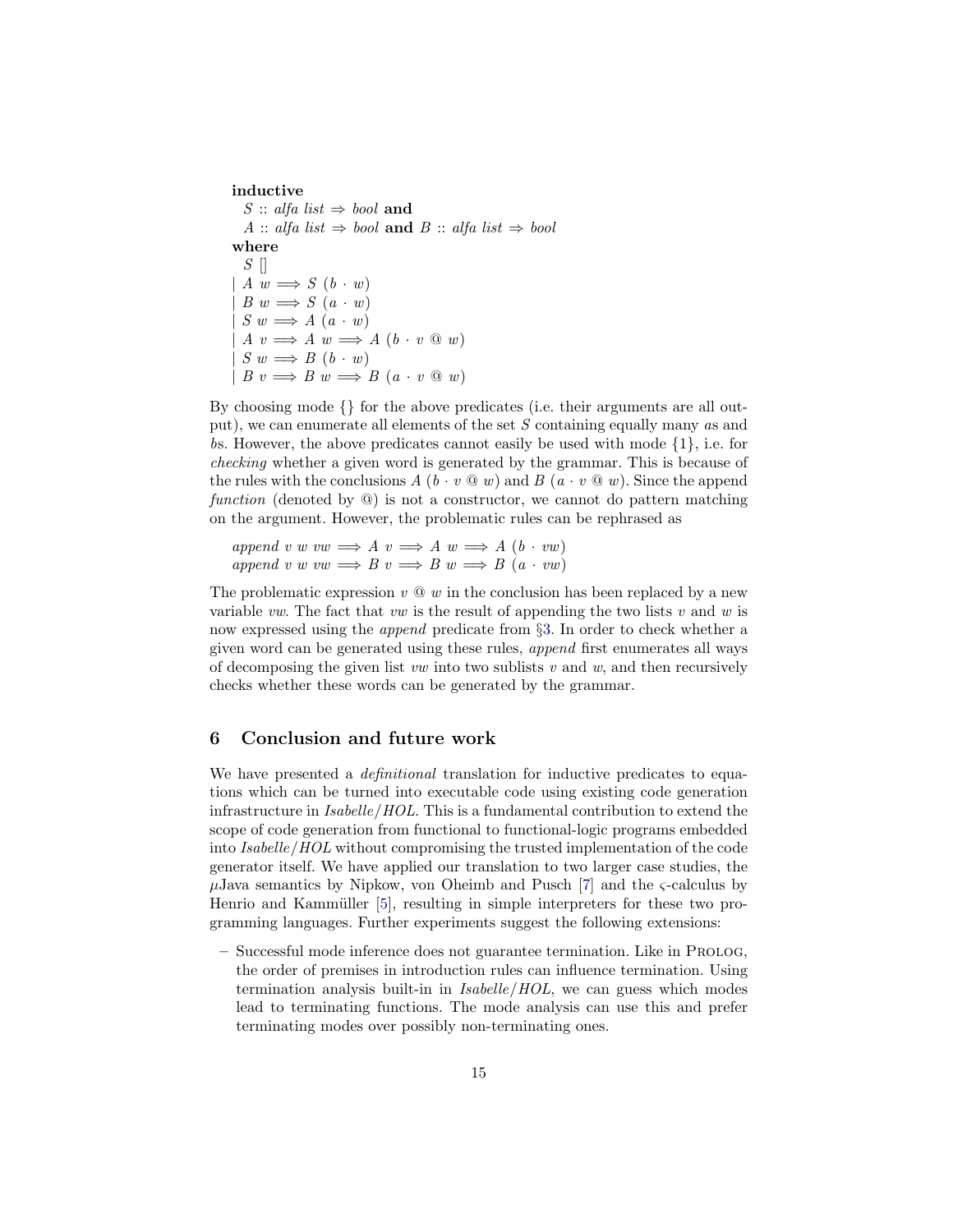#### inductive

S :: alfa list  $\Rightarrow$  bool and A :: alfa list  $\Rightarrow$  bool and B :: alfa list  $\Rightarrow$  bool where  $S \parallel$  $A \t w \Longrightarrow S \t (b \cdot w)$  $B w \Longrightarrow S (a \cdot w)$  $S \, w \Longrightarrow A \, (a \cdot w)$  $A \, v \Longrightarrow A \, w \Longrightarrow A \, (b \cdot v \, @ \, w)$  $S \, w \Longrightarrow B \, (b \cdot w)$  $B v \Longrightarrow B w \Longrightarrow B (a \cdot v \otimes w)$ 

By choosing mode {} for the above predicates (i.e. their arguments are all output), we can enumerate all elements of the set S containing equally many as and bs. However, the above predicates cannot easily be used with mode {1}, i.e. for checking whether a given word is generated by the grammar. This is because of the rules with the conclusions  $A(b \cdot v \mathbb{Q} w)$  and  $B(a \cdot v \mathbb{Q} w)$ . Since the append function (denoted by  $\circledcirc$ ) is not a constructor, we cannot do pattern matching on the argument. However, the problematic rules can be rephrased as

append v w vw  $\implies A$  v  $\implies A$  w  $\implies A$  (b · vw) append v w vw  $\implies B$  v  $\implies B$  w  $\implies B$  (a · vw)

The problematic expression  $v \odot w$  in the conclusion has been replaced by a new variable vw. The fact that vw is the result of appending the two lists v and w is now expressed using the *append* predicate from §[3.](#page-1-1) In order to check whether a given word can be generated using these rules, append first enumerates all ways of decomposing the given list  $vw$  into two sublists  $v$  and  $w$ , and then recursively checks whether these words can be generated by the grammar.

## <span id="page-14-0"></span>6 Conclusion and future work

We have presented a *definitional* translation for inductive predicates to equations which can be turned into executable code using existing code generation infrastructure in Isabelle/HOL. This is a fundamental contribution to extend the scope of code generation from functional to functional-logic programs embedded into Isabelle/HOL without compromising the trusted implementation of the code generator itself. We have applied our translation to two larger case studies, the  $\mu$ Java semantics by Nipkow, von Oheimb and Pusch [\[7\]](#page-15-9) and the  $\zeta$ -calculus by Henrio and Kammüller [\[5\]](#page-15-10), resulting in simple interpreters for these two programming languages. Further experiments suggest the following extensions:

– Successful mode inference does not guarantee termination. Like in Prolog, the order of premises in introduction rules can influence termination. Using termination analysis built-in in Isabelle/HOL, we can guess which modes lead to terminating functions. The mode analysis can use this and prefer terminating modes over possibly non-terminating ones.